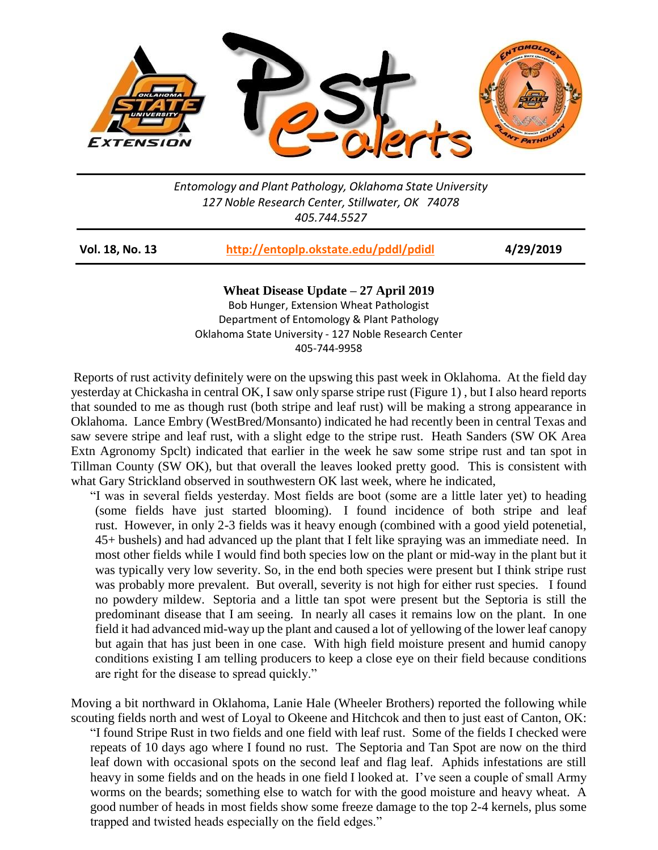

*Entomology and Plant Pathology, Oklahoma State University 127 Noble Research Center, Stillwater, OK 74078 405.744.5527*

| <b>Vol. 18, No. 13</b> | http://entoplp.okstate.edu/pddl/pdidl | 4/29/2019 |
|------------------------|---------------------------------------|-----------|
|------------------------|---------------------------------------|-----------|

**Wheat Disease Update – 27 April 2019** Bob Hunger, Extension Wheat Pathologist Department of Entomology & Plant Pathology Oklahoma State University - 127 Noble Research Center 405-744-9958

Reports of rust activity definitely were on the upswing this past week in Oklahoma. At the field day yesterday at Chickasha in central OK, I saw only sparse stripe rust (Figure 1) , but I also heard reports that sounded to me as though rust (both stripe and leaf rust) will be making a strong appearance in Oklahoma. Lance Embry (WestBred/Monsanto) indicated he had recently been in central Texas and saw severe stripe and leaf rust, with a slight edge to the stripe rust. Heath Sanders (SW OK Area Extn Agronomy Spclt) indicated that earlier in the week he saw some stripe rust and tan spot in Tillman County (SW OK), but that overall the leaves looked pretty good. This is consistent with what Gary Strickland observed in southwestern OK last week, where he indicated,

"I was in several fields yesterday. Most fields are boot (some are a little later yet) to heading (some fields have just started blooming). I found incidence of both stripe and leaf rust. However, in only 2-3 fields was it heavy enough (combined with a good yield potenetial, 45+ bushels) and had advanced up the plant that I felt like spraying was an immediate need. In most other fields while I would find both species low on the plant or mid-way in the plant but it was typically very low severity. So, in the end both species were present but I think stripe rust was probably more prevalent. But overall, severity is not high for either rust species. I found no powdery mildew. Septoria and a little tan spot were present but the Septoria is still the predominant disease that I am seeing. In nearly all cases it remains low on the plant. In one field it had advanced mid-way up the plant and caused a lot of yellowing of the lower leaf canopy but again that has just been in one case. With high field moisture present and humid canopy conditions existing I am telling producers to keep a close eye on their field because conditions are right for the disease to spread quickly."

Moving a bit northward in Oklahoma, Lanie Hale (Wheeler Brothers) reported the following while scouting fields north and west of Loyal to Okeene and Hitchcok and then to just east of Canton, OK: "I found Stripe Rust in two fields and one field with leaf rust. Some of the fields I checked were repeats of 10 days ago where I found no rust. The Septoria and Tan Spot are now on the third leaf down with occasional spots on the second leaf and flag leaf. Aphids infestations are still heavy in some fields and on the heads in one field I looked at. I've seen a couple of small Army worms on the beards; something else to watch for with the good moisture and heavy wheat. A good number of heads in most fields show some freeze damage to the top 2-4 kernels, plus some trapped and twisted heads especially on the field edges."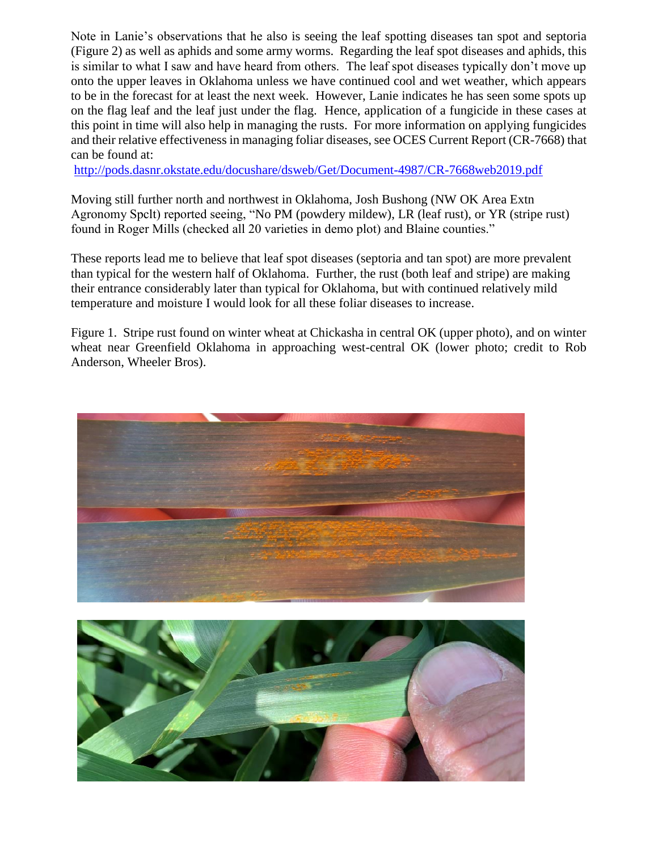Note in Lanie's observations that he also is seeing the leaf spotting diseases tan spot and septoria (Figure 2) as well as aphids and some army worms. Regarding the leaf spot diseases and aphids, this is similar to what I saw and have heard from others. The leaf spot diseases typically don't move up onto the upper leaves in Oklahoma unless we have continued cool and wet weather, which appears to be in the forecast for at least the next week. However, Lanie indicates he has seen some spots up on the flag leaf and the leaf just under the flag. Hence, application of a fungicide in these cases at this point in time will also help in managing the rusts. For more information on applying fungicides and their relative effectiveness in managing foliar diseases, see OCES Current Report (CR-7668) that can be found at:

<http://pods.dasnr.okstate.edu/docushare/dsweb/Get/Document-4987/CR-7668web2019.pdf>

Moving still further north and northwest in Oklahoma, Josh Bushong (NW OK Area Extn Agronomy Spclt) reported seeing, "No PM (powdery mildew), LR (leaf rust), or YR (stripe rust) found in Roger Mills (checked all 20 varieties in demo plot) and Blaine counties."

These reports lead me to believe that leaf spot diseases (septoria and tan spot) are more prevalent than typical for the western half of Oklahoma. Further, the rust (both leaf and stripe) are making their entrance considerably later than typical for Oklahoma, but with continued relatively mild temperature and moisture I would look for all these foliar diseases to increase.

Figure 1. Stripe rust found on winter wheat at Chickasha in central OK (upper photo), and on winter wheat near Greenfield Oklahoma in approaching west-central OK (lower photo; credit to Rob Anderson, Wheeler Bros).